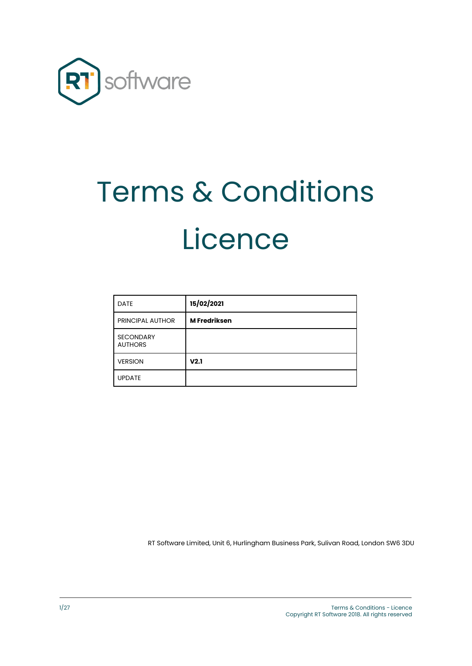

# Terms & Conditions Licence

| <b>DATE</b>                        | 15/02/2021          |
|------------------------------------|---------------------|
| <b>PRINCIPAL AUTHOR</b>            | <b>M</b> Fredriksen |
| <b>SECONDARY</b><br><b>AUTHORS</b> |                     |
| <b>VERSION</b>                     | V <sub>2.1</sub>    |
| <b>UPDATE</b>                      |                     |

RT Software Limited, Unit 6, Hurlingham Business Park, Sulivan Road, London SW6 3DU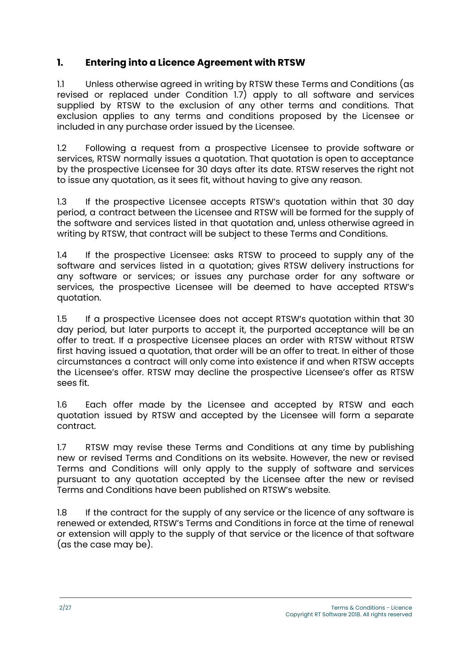## **1. Entering into a Licence Agreement with RTSW**

1.1 Unless otherwise agreed in writing by RTSW these Terms and Conditions (as revised or replaced under Condition 1.7) apply to all software and services supplied by RTSW to the exclusion of any other terms and conditions. That exclusion applies to any terms and conditions proposed by the Licensee or included in any purchase order issued by the Licensee.

1.2 Following a request from a prospective Licensee to provide software or services, RTSW normally issues a quotation. That quotation is open to acceptance by the prospective Licensee for 30 days after its date. RTSW reserves the right not to issue any quotation, as it sees fit, without having to give any reason.

1.3 If the prospective Licensee accepts RTSW's quotation within that 30 day period, a contract between the Licensee and RTSW will be formed for the supply of the software and services listed in that quotation and, unless otherwise agreed in writing by RTSW, that contract will be subject to these Terms and Conditions.

1.4 If the prospective Licensee: asks RTSW to proceed to supply any of the software and services listed in a quotation; gives RTSW delivery instructions for any software or services; or issues any purchase order for any software or services, the prospective Licensee will be deemed to have accepted RTSW's quotation.

1.5 If a prospective Licensee does not accept RTSW's quotation within that 30 day period, but later purports to accept it, the purported acceptance will be an offer to treat. If a prospective Licensee places an order with RTSW without RTSW first having issued a quotation, that order will be an offer to treat. In either of those circumstances a contract will only come into existence if and when RTSW accepts the Licensee's offer. RTSW may decline the prospective Licensee's offer as RTSW sees fit.

1.6 Each offer made by the Licensee and accepted by RTSW and each quotation issued by RTSW and accepted by the Licensee will form a separate contract.

1.7 RTSW may revise these Terms and Conditions at any time by publishing new or revised Terms and Conditions on its website. However, the new or revised Terms and Conditions will only apply to the supply of software and services pursuant to any quotation accepted by the Licensee after the new or revised Terms and Conditions have been published on RTSW's website.

1.8 If the contract for the supply of any service or the licence of any software is renewed or extended, RTSW's Terms and Conditions in force at the time of renewal or extension will apply to the supply of that service or the licence of that software (as the case may be).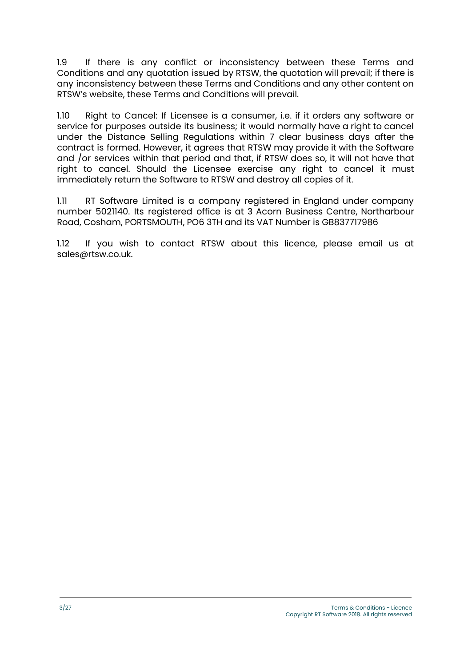1.9 If there is any conflict or inconsistency between these Terms and Conditions and any quotation issued by RTSW, the quotation will prevail; if there is any inconsistency between these Terms and Conditions and any other content on RTSW's website, these Terms and Conditions will prevail.

1.10 Right to Cancel: If Licensee is a consumer, i.e. if it orders any software or service for purposes outside its business; it would normally have a right to cancel under the Distance Selling Regulations within 7 clear business days after the contract is formed. However, it agrees that RTSW may provide it with the Software and /or services within that period and that, if RTSW does so, it will not have that right to cancel. Should the Licensee exercise any right to cancel it must immediately return the Software to RTSW and destroy all copies of it.

1.11 RT Software Limited is a company registered in England under company number 5021140. Its registered office is at 3 Acorn Business Centre, Northarbour Road, Cosham, PORTSMOUTH, PO6 3TH and its VAT Number is GB837717986

1.12 If you wish to contact RTSW about this licence, please email us at sales@rtsw.co.uk.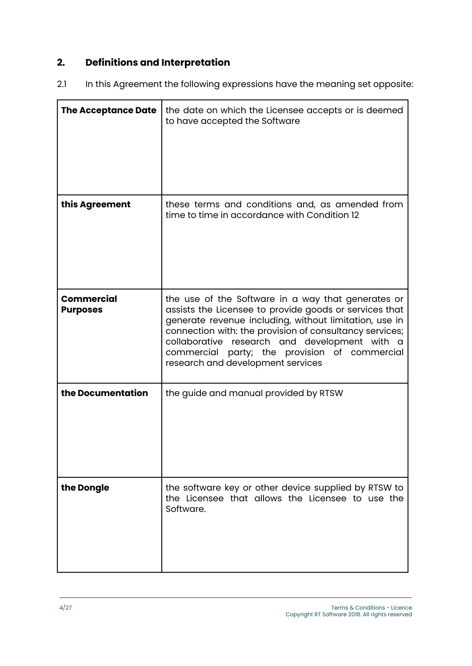# **2. Definitions and Interpretation**

2.1 In this Agreement the following expressions have the meaning set opposite:

| <b>The Acceptance Date</b>           | the date on which the Licensee accepts or is deemed<br>to have accepted the Software                                                                                                                                                                                                                                                                                     |
|--------------------------------------|--------------------------------------------------------------------------------------------------------------------------------------------------------------------------------------------------------------------------------------------------------------------------------------------------------------------------------------------------------------------------|
| this Agreement                       | these terms and conditions and, as amended from<br>time to time in accordance with Condition 12                                                                                                                                                                                                                                                                          |
| <b>Commercial</b><br><b>Purposes</b> | the use of the Software in a way that generates or<br>assists the Licensee to provide goods or services that<br>generate revenue including, without limitation, use in<br>connection with: the provision of consultancy services;<br>collaborative research and development with a<br>commercial party; the provision of commercial<br>research and development services |
| the Documentation                    | the guide and manual provided by RTSW                                                                                                                                                                                                                                                                                                                                    |
| the Dongle                           | the software key or other device supplied by RTSW to<br>the Licensee that allows the Licensee to use the<br>Software.                                                                                                                                                                                                                                                    |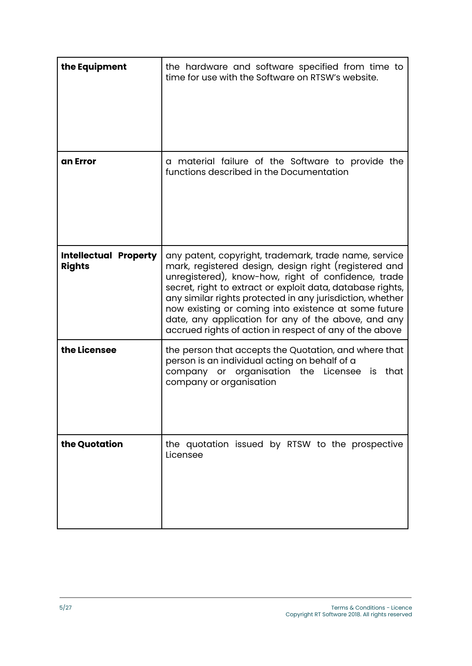| the Equipment                                 | the hardware and software specified from time to<br>time for use with the Software on RTSW's website.                                                                                                                                                                                                                                                                                                                                                                      |
|-----------------------------------------------|----------------------------------------------------------------------------------------------------------------------------------------------------------------------------------------------------------------------------------------------------------------------------------------------------------------------------------------------------------------------------------------------------------------------------------------------------------------------------|
| an Error                                      | a material failure of the Software to provide the<br>functions described in the Documentation                                                                                                                                                                                                                                                                                                                                                                              |
| <b>Intellectual Property</b><br><b>Rights</b> | any patent, copyright, trademark, trade name, service<br>mark, registered design, design right (registered and<br>unregistered), know-how, right of confidence, trade<br>secret, right to extract or exploit data, database rights,<br>any similar rights protected in any jurisdiction, whether<br>now existing or coming into existence at some future<br>date, any application for any of the above, and any<br>accrued rights of action in respect of any of the above |
| the Licensee                                  | the person that accepts the Quotation, and where that<br>person is an individual acting on behalf of a<br>company or organisation the Licensee is that<br>company or organisation                                                                                                                                                                                                                                                                                          |
| the Quotation                                 | the quotation issued by RTSW to the prospective<br>Licensee                                                                                                                                                                                                                                                                                                                                                                                                                |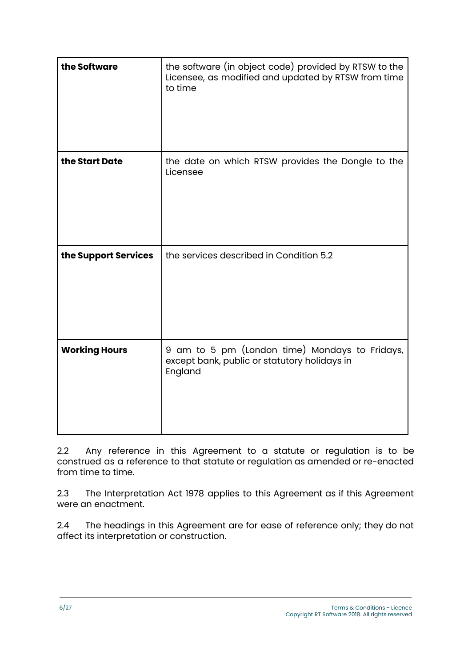| the Software         | the software (in object code) provided by RTSW to the<br>Licensee, as modified and updated by RTSW from time<br>to time |
|----------------------|-------------------------------------------------------------------------------------------------------------------------|
| the Start Date       | the date on which RTSW provides the Dongle to the<br>Licensee                                                           |
| the Support Services | the services described in Condition 5.2                                                                                 |
| <b>Working Hours</b> | 9 am to 5 pm (London time) Mondays to Fridays,<br>except bank, public or statutory holidays in<br>England               |

2.2 Any reference in this Agreement to a statute or regulation is to be construed as a reference to that statute or regulation as amended or re-enacted from time to time.

2.3 The Interpretation Act 1978 applies to this Agreement as if this Agreement were an enactment.

2.4 The headings in this Agreement are for ease of reference only; they do not affect its interpretation or construction.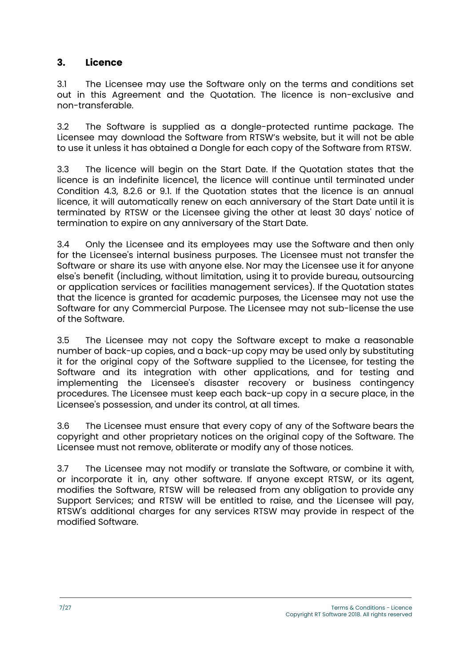#### **3. Licence**

3.1 The Licensee may use the Software only on the terms and conditions set out in this Agreement and the Quotation. The licence is non-exclusive and non-transferable.

3.2 The Software is supplied as a dongle-protected runtime package. The Licensee may download the Software from RTSW's website, but it will not be able to use it unless it has obtained a Dongle for each copy of the Software from RTSW.

3.3 The licence will begin on the Start Date. If the Quotation states that the licence is an indefinite licence1, the licence will continue until terminated under Condition 4.3, 8.2.6 or 9.1. If the Quotation states that the licence is an annual licence, it will automatically renew on each anniversary of the Start Date until it is terminated by RTSW or the Licensee giving the other at least 30 days' notice of termination to expire on any anniversary of the Start Date.

3.4 Only the Licensee and its employees may use the Software and then only for the Licensee's internal business purposes. The Licensee must not transfer the Software or share its use with anyone else. Nor may the Licensee use it for anyone else's benefit (including, without limitation, using it to provide bureau, outsourcing or application services or facilities management services). If the Quotation states that the licence is granted for academic purposes, the Licensee may not use the Software for any Commercial Purpose. The Licensee may not sub-license the use of the Software.

3.5 The Licensee may not copy the Software except to make a reasonable number of back-up copies, and a back-up copy may be used only by substituting it for the original copy of the Software supplied to the Licensee, for testing the Software and its integration with other applications, and for testing and implementing the Licensee's disaster recovery or business contingency procedures. The Licensee must keep each back-up copy in a secure place, in the Licensee's possession, and under its control, at all times.

3.6 The Licensee must ensure that every copy of any of the Software bears the copyright and other proprietary notices on the original copy of the Software. The Licensee must not remove, obliterate or modify any of those notices.

3.7 The Licensee may not modify or translate the Software, or combine it with, or incorporate it in, any other software. If anyone except RTSW, or its agent, modifies the Software, RTSW will be released from any obligation to provide any Support Services; and RTSW will be entitled to raise, and the Licensee will pay, RTSW's additional charges for any services RTSW may provide in respect of the modified Software.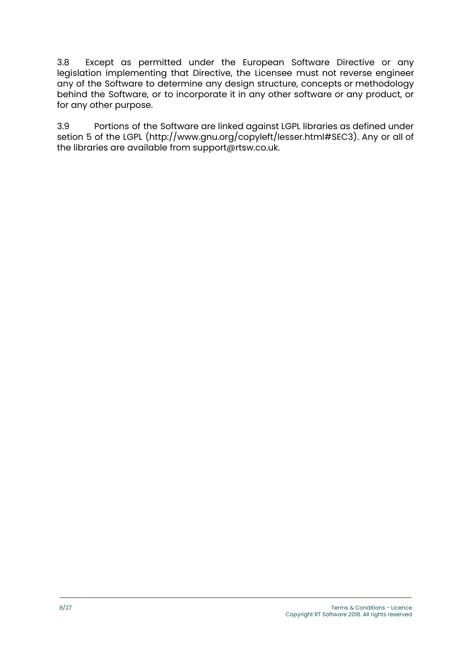3.8 Except as permitted under the European Software Directive or any legislation implementing that Directive, the Licensee must not reverse engineer any of the Software to determine any design structure, concepts or methodology behind the Software, or to incorporate it in any other software or any product, or for any other purpose.

3.9 Portions of the Software are linked against LGPL libraries as defined under setion 5 of the LGPL (http://www.gnu.org/copyleft/lesser.html#SEC3). Any or all of the libraries are available from support@rtsw.co.uk.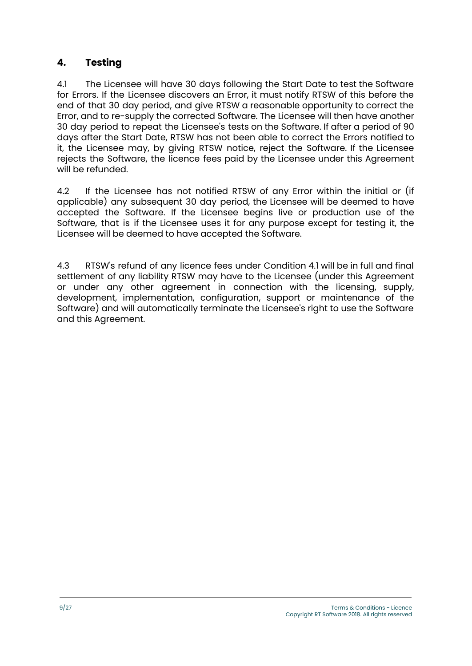### **4. Testing**

4.1 The Licensee will have 30 days following the Start Date to test the Software for Errors. If the Licensee discovers an Error, it must notify RTSW of this before the end of that 30 day period, and give RTSW a reasonable opportunity to correct the Error, and to re-supply the corrected Software. The Licensee will then have another 30 day period to repeat the Licensee's tests on the Software. If after a period of 90 days after the Start Date, RTSW has not been able to correct the Errors notified to it, the Licensee may, by giving RTSW notice, reject the Software. If the Licensee rejects the Software, the licence fees paid by the Licensee under this Agreement will be refunded.

4.2 If the Licensee has not notified RTSW of any Error within the initial or (if applicable) any subsequent 30 day period, the Licensee will be deemed to have accepted the Software. If the Licensee begins live or production use of the Software, that is if the Licensee uses it for any purpose except for testing it, the Licensee will be deemed to have accepted the Software.

4.3 RTSW's refund of any licence fees under Condition 4.1 will be in full and final settlement of any liability RTSW may have to the Licensee (under this Agreement or under any other agreement in connection with the licensing, supply, development, implementation, configuration, support or maintenance of the Software) and will automatically terminate the Licensee's right to use the Software and this Agreement.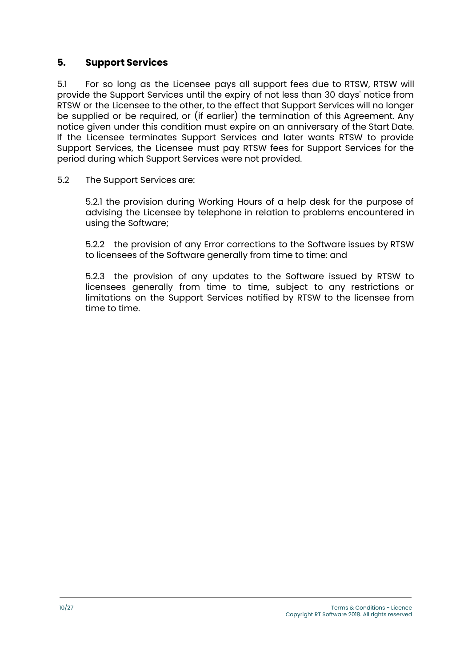#### **5. Support Services**

5.1 For so long as the Licensee pays all support fees due to RTSW, RTSW will provide the Support Services until the expiry of not less than 30 days' notice from RTSW or the Licensee to the other, to the effect that Support Services will no longer be supplied or be required, or (if earlier) the termination of this Agreement. Any notice given under this condition must expire on an anniversary of the Start Date. If the Licensee terminates Support Services and later wants RTSW to provide Support Services, the Licensee must pay RTSW fees for Support Services for the period during which Support Services were not provided.

5.2 The Support Services are:

5.2.1 the provision during Working Hours of a help desk for the purpose of advising the Licensee by telephone in relation to problems encountered in using the Software;

5.2.2 the provision of any Error corrections to the Software issues by RTSW to licensees of the Software generally from time to time: and

5.2.3 the provision of any updates to the Software issued by RTSW to licensees generally from time to time, subject to any restrictions or limitations on the Support Services notified by RTSW to the licensee from time to time.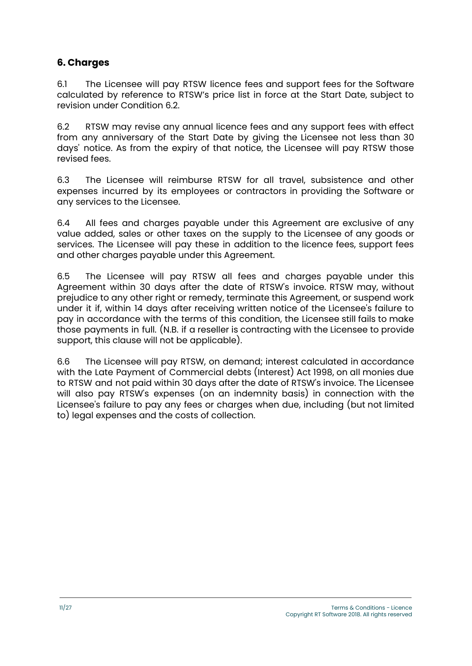#### **6. Charges**

6.1 The Licensee will pay RTSW licence fees and support fees for the Software calculated by reference to RTSW's price list in force at the Start Date, subject to revision under Condition 6.2.

6.2 RTSW may revise any annual licence fees and any support fees with effect from any anniversary of the Start Date by giving the Licensee not less than 30 days' notice. As from the expiry of that notice, the Licensee will pay RTSW those revised fees.

6.3 The Licensee will reimburse RTSW for all travel, subsistence and other expenses incurred by its employees or contractors in providing the Software or any services to the Licensee.

6.4 All fees and charges payable under this Agreement are exclusive of any value added, sales or other taxes on the supply to the Licensee of any goods or services. The Licensee will pay these in addition to the licence fees, support fees and other charges payable under this Agreement.

6.5 The Licensee will pay RTSW all fees and charges payable under this Agreement within 30 days after the date of RTSW's invoice. RTSW may, without prejudice to any other right or remedy, terminate this Agreement, or suspend work under it if, within 14 days after receiving written notice of the Licensee's failure to pay in accordance with the terms of this condition, the Licensee still fails to make those payments in full. (N.B. if a reseller is contracting with the Licensee to provide support, this clause will not be applicable).

6.6 The Licensee will pay RTSW, on demand; interest calculated in accordance with the Late Payment of Commercial debts (Interest) Act 1998, on all monies due to RTSW and not paid within 30 days after the date of RTSW's invoice. The Licensee will also pay RTSW's expenses (on an indemnity basis) in connection with the Licensee's failure to pay any fees or charges when due, including (but not limited to) legal expenses and the costs of collection.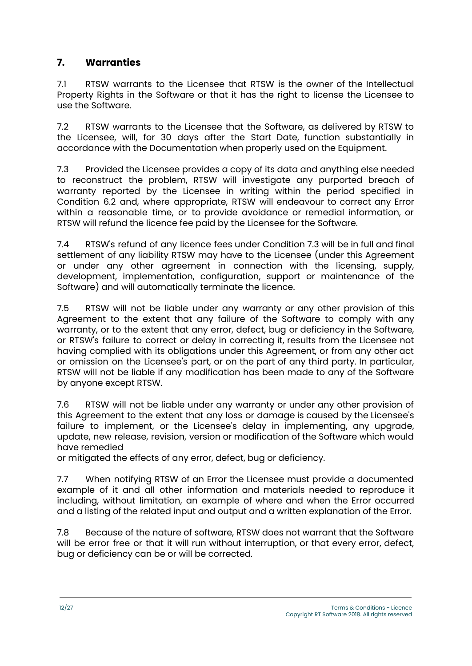# **7. Warranties**

7.1 RTSW warrants to the Licensee that RTSW is the owner of the Intellectual Property Rights in the Software or that it has the right to license the Licensee to use the Software.

7.2 RTSW warrants to the Licensee that the Software, as delivered by RTSW to the Licensee, will, for 30 days after the Start Date, function substantially in accordance with the Documentation when properly used on the Equipment.

7.3 Provided the Licensee provides a copy of its data and anything else needed to reconstruct the problem, RTSW will investigate any purported breach of warranty reported by the Licensee in writing within the period specified in Condition 6.2 and, where appropriate, RTSW will endeavour to correct any Error within a reasonable time, or to provide avoidance or remedial information, or RTSW will refund the licence fee paid by the Licensee for the Software.

7.4 RTSW's refund of any licence fees under Condition 7.3 will be in full and final settlement of any liability RTSW may have to the Licensee (under this Agreement or under any other agreement in connection with the licensing, supply, development, implementation, configuration, support or maintenance of the Software) and will automatically terminate the licence.

7.5 RTSW will not be liable under any warranty or any other provision of this Agreement to the extent that any failure of the Software to comply with any warranty, or to the extent that any error, defect, bug or deficiency in the Software, or RTSW's failure to correct or delay in correcting it, results from the Licensee not having complied with its obligations under this Agreement, or from any other act or omission on the Licensee's part, or on the part of any third party. In particular, RTSW will not be liable if any modification has been made to any of the Software by anyone except RTSW.

7.6 RTSW will not be liable under any warranty or under any other provision of this Agreement to the extent that any loss or damage is caused by the Licensee's failure to implement, or the Licensee's delay in implementing, any upgrade, update, new release, revision, version or modification of the Software which would have remedied

or mitigated the effects of any error, defect, bug or deficiency.

7.7 When notifying RTSW of an Error the Licensee must provide a documented example of it and all other information and materials needed to reproduce it including, without limitation, an example of where and when the Error occurred and a listing of the related input and output and a written explanation of the Error.

7.8 Because of the nature of software, RTSW does not warrant that the Software will be error free or that it will run without interruption, or that every error, defect, bug or deficiency can be or will be corrected.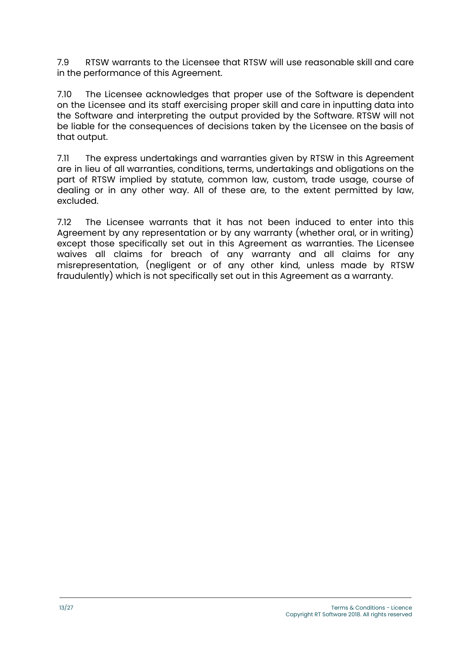7.9 RTSW warrants to the Licensee that RTSW will use reasonable skill and care in the performance of this Agreement.

7.10 The Licensee acknowledges that proper use of the Software is dependent on the Licensee and its staff exercising proper skill and care in inputting data into the Software and interpreting the output provided by the Software. RTSW will not be liable for the consequences of decisions taken by the Licensee on the basis of that output.

7.11 The express undertakings and warranties given by RTSW in this Agreement are in lieu of all warranties, conditions, terms, undertakings and obligations on the part of RTSW implied by statute, common law, custom, trade usage, course of dealing or in any other way. All of these are, to the extent permitted by law, excluded.

7.12 The Licensee warrants that it has not been induced to enter into this Agreement by any representation or by any warranty (whether oral, or in writing) except those specifically set out in this Agreement as warranties. The Licensee waives all claims for breach of any warranty and all claims for any misrepresentation, (negligent or of any other kind, unless made by RTSW fraudulently) which is not specifically set out in this Agreement as a warranty.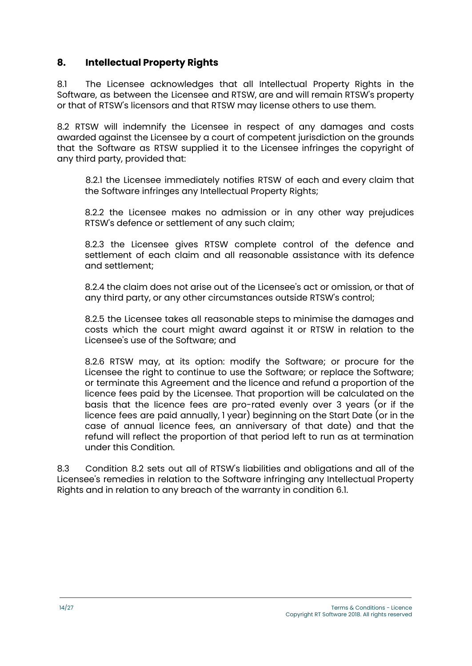#### **8. Intellectual Property Rights**

8.1 The Licensee acknowledges that all Intellectual Property Rights in the Software, as between the Licensee and RTSW, are and will remain RTSW's property or that of RTSW's licensors and that RTSW may license others to use them.

8.2 RTSW will indemnify the Licensee in respect of any damages and costs awarded against the Licensee by a court of competent jurisdiction on the grounds that the Software as RTSW supplied it to the Licensee infringes the copyright of any third party, provided that:

8.2.1 the Licensee immediately notifies RTSW of each and every claim that the Software infringes any Intellectual Property Rights;

8.2.2 the Licensee makes no admission or in any other way prejudices RTSW's defence or settlement of any such claim;

8.2.3 the Licensee gives RTSW complete control of the defence and settlement of each claim and all reasonable assistance with its defence and settlement;

8.2.4 the claim does not arise out of the Licensee's act or omission, or that of any third party, or any other circumstances outside RTSW's control;

8.2.5 the Licensee takes all reasonable steps to minimise the damages and costs which the court might award against it or RTSW in relation to the Licensee's use of the Software; and

8.2.6 RTSW may, at its option: modify the Software; or procure for the Licensee the right to continue to use the Software; or replace the Software; or terminate this Agreement and the licence and refund a proportion of the licence fees paid by the Licensee. That proportion will be calculated on the basis that the licence fees are pro-rated evenly over 3 years (or if the licence fees are paid annually, 1 year) beginning on the Start Date (or in the case of annual licence fees, an anniversary of that date) and that the refund will reflect the proportion of that period left to run as at termination under this Condition.

8.3 Condition 8.2 sets out all of RTSW's liabilities and obligations and all of the Licensee's remedies in relation to the Software infringing any Intellectual Property Rights and in relation to any breach of the warranty in condition 6.1.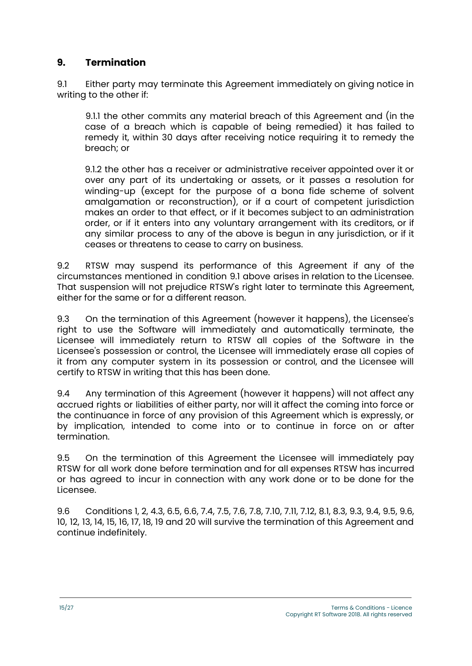### **9. Termination**

9.1 Either party may terminate this Agreement immediately on giving notice in writing to the other if:

9.1.1 the other commits any material breach of this Agreement and (in the case of a breach which is capable of being remedied) it has failed to remedy it, within 30 days after receiving notice requiring it to remedy the breach; or

9.1.2 the other has a receiver or administrative receiver appointed over it or over any part of its undertaking or assets, or it passes a resolution for winding-up (except for the purpose of a bona fide scheme of solvent amalgamation or reconstruction), or if a court of competent jurisdiction makes an order to that effect, or if it becomes subject to an administration order, or if it enters into any voluntary arrangement with its creditors, or if any similar process to any of the above is begun in any jurisdiction, or if it ceases or threatens to cease to carry on business.

9.2 RTSW may suspend its performance of this Agreement if any of the circumstances mentioned in condition 9.1 above arises in relation to the Licensee. That suspension will not prejudice RTSW's right later to terminate this Agreement, either for the same or for a different reason.

9.3 On the termination of this Agreement (however it happens), the Licensee's right to use the Software will immediately and automatically terminate, the Licensee will immediately return to RTSW all copies of the Software in the Licensee's possession or control, the Licensee will immediately erase all copies of it from any computer system in its possession or control, and the Licensee will certify to RTSW in writing that this has been done.

9.4 Any termination of this Agreement (however it happens) will not affect any accrued rights or liabilities of either party, nor will it affect the coming into force or the continuance in force of any provision of this Agreement which is expressly, or by implication, intended to come into or to continue in force on or after termination.

9.5 On the termination of this Agreement the Licensee will immediately pay RTSW for all work done before termination and for all expenses RTSW has incurred or has agreed to incur in connection with any work done or to be done for the Licensee.

9.6 Conditions 1, 2, 4.3, 6.5, 6.6, 7.4, 7.5, 7.6, 7.8, 7.10, 7.11, 7.12, 8.1, 8.3, 9.3, 9.4, 9.5, 9.6, 10, 12, 13, 14, 15, 16, 17, 18, 19 and 20 will survive the termination of this Agreement and continue indefinitely.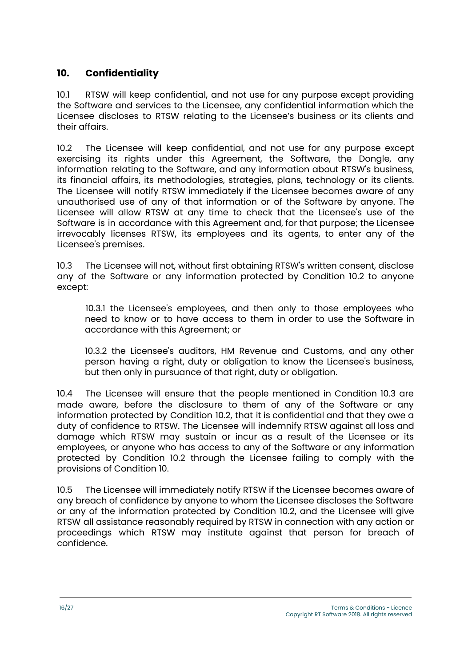#### **10. Confidentiality**

10.1 RTSW will keep confidential, and not use for any purpose except providing the Software and services to the Licensee, any confidential information which the Licensee discloses to RTSW relating to the Licensee's business or its clients and their affairs.

10.2 The Licensee will keep confidential, and not use for any purpose except exercising its rights under this Agreement, the Software, the Dongle, any information relating to the Software, and any information about RTSW's business, its financial affairs, its methodologies, strategies, plans, technology or its clients. The Licensee will notify RTSW immediately if the Licensee becomes aware of any unauthorised use of any of that information or of the Software by anyone. The Licensee will allow RTSW at any time to check that the Licensee's use of the Software is in accordance with this Agreement and, for that purpose; the Licensee irrevocably licenses RTSW, its employees and its agents, to enter any of the Licensee's premises.

10.3 The Licensee will not, without first obtaining RTSW's written consent, disclose any of the Software or any information protected by Condition 10.2 to anyone except:

10.3.1 the Licensee's employees, and then only to those employees who need to know or to have access to them in order to use the Software in accordance with this Agreement; or

10.3.2 the Licensee's auditors, HM Revenue and Customs, and any other person having a right, duty or obligation to know the Licensee's business, but then only in pursuance of that right, duty or obligation.

10.4 The Licensee will ensure that the people mentioned in Condition 10.3 are made aware, before the disclosure to them of any of the Software or any information protected by Condition 10.2, that it is confidential and that they owe a duty of confidence to RTSW. The Licensee will indemnify RTSW against all loss and damage which RTSW may sustain or incur as a result of the Licensee or its employees, or anyone who has access to any of the Software or any information protected by Condition 10.2 through the Licensee failing to comply with the provisions of Condition 10.

10.5 The Licensee will immediately notify RTSW if the Licensee becomes aware of any breach of confidence by anyone to whom the Licensee discloses the Software or any of the information protected by Condition 10.2, and the Licensee will give RTSW all assistance reasonably required by RTSW in connection with any action or proceedings which RTSW may institute against that person for breach of confidence.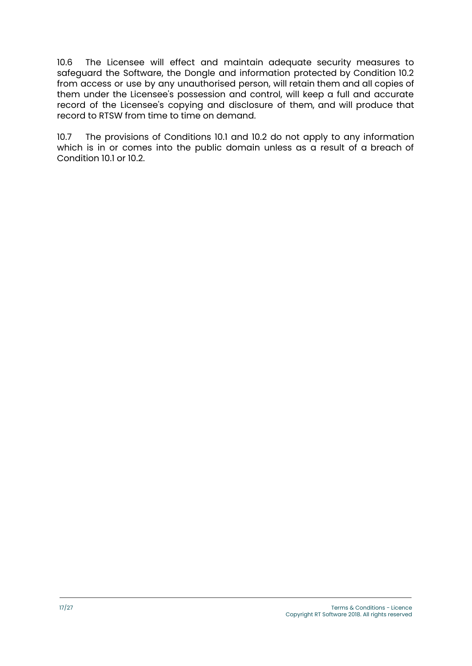10.6 The Licensee will effect and maintain adequate security measures to safeguard the Software, the Dongle and information protected by Condition 10.2 from access or use by any unauthorised person, will retain them and all copies of them under the Licensee's possession and control, will keep a full and accurate record of the Licensee's copying and disclosure of them, and will produce that record to RTSW from time to time on demand.

10.7 The provisions of Conditions 10.1 and 10.2 do not apply to any information which is in or comes into the public domain unless as a result of a breach of Condition 10.1 or 10.2.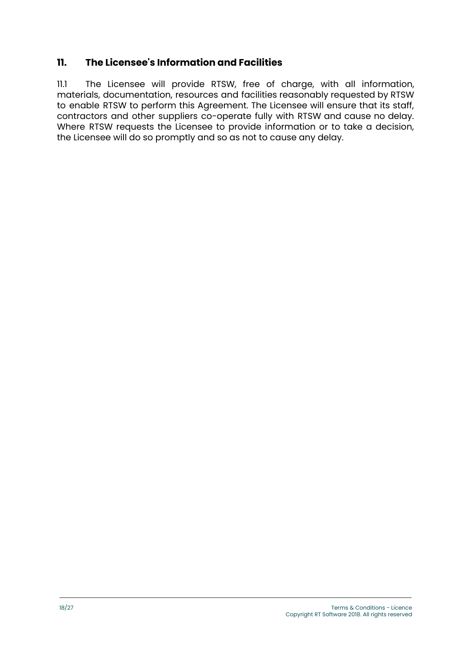#### **11. The Licensee's Information and Facilities**

11.1 The Licensee will provide RTSW, free of charge, with all information, materials, documentation, resources and facilities reasonably requested by RTSW to enable RTSW to perform this Agreement. The Licensee will ensure that its staff, contractors and other suppliers co-operate fully with RTSW and cause no delay. Where RTSW requests the Licensee to provide information or to take a decision, the Licensee will do so promptly and so as not to cause any delay.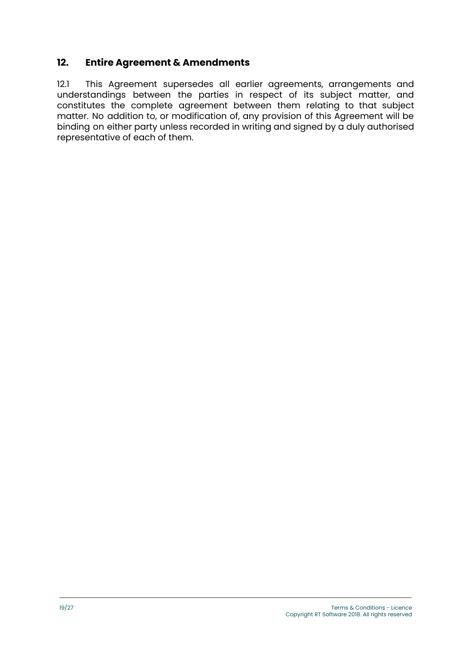#### **12. Entire Agreement & Amendments**

12.1 This Agreement supersedes all earlier agreements, arrangements and understandings between the parties in respect of its subject matter, and constitutes the complete agreement between them relating to that subject matter. No addition to, or modification of, any provision of this Agreement will be binding on either party unless recorded in writing and signed by a duly authorised representative of each of them.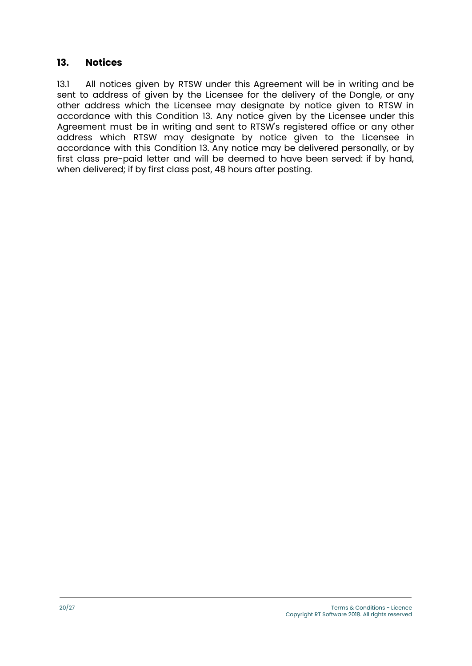#### **13. Notices**

13.1 All notices given by RTSW under this Agreement will be in writing and be sent to address of given by the Licensee for the delivery of the Dongle, or any other address which the Licensee may designate by notice given to RTSW in accordance with this Condition 13. Any notice given by the Licensee under this Agreement must be in writing and sent to RTSW's registered office or any other address which RTSW may designate by notice given to the Licensee in accordance with this Condition 13. Any notice may be delivered personally, or by first class pre-paid letter and will be deemed to have been served: if by hand, when delivered; if by first class post, 48 hours after posting.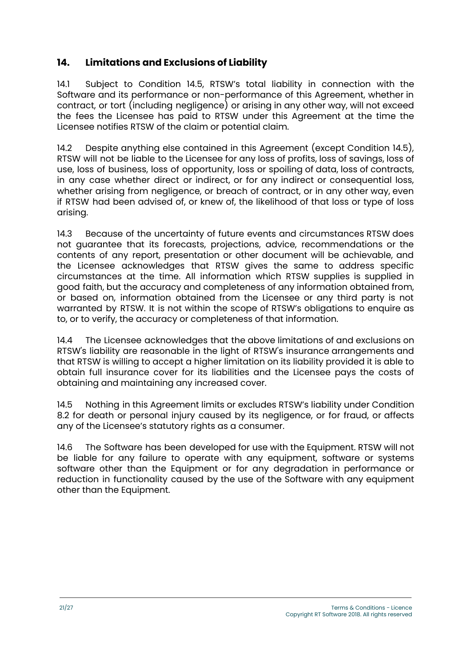## **14. Limitations and Exclusions of Liability**

14.1 Subject to Condition 14.5, RTSW's total liability in connection with the Software and its performance or non-performance of this Agreement, whether in contract, or tort (including negligence) or arising in any other way, will not exceed the fees the Licensee has paid to RTSW under this Agreement at the time the Licensee notifies RTSW of the claim or potential claim.

14.2 Despite anything else contained in this Agreement (except Condition 14.5), RTSW will not be liable to the Licensee for any loss of profits, loss of savings, loss of use, loss of business, loss of opportunity, loss or spoiling of data, loss of contracts, in any case whether direct or indirect, or for any indirect or consequential loss, whether arising from negligence, or breach of contract, or in any other way, even if RTSW had been advised of, or knew of, the likelihood of that loss or type of loss arising.

14.3 Because of the uncertainty of future events and circumstances RTSW does not guarantee that its forecasts, projections, advice, recommendations or the contents of any report, presentation or other document will be achievable, and the Licensee acknowledges that RTSW gives the same to address specific circumstances at the time. All information which RTSW supplies is supplied in good faith, but the accuracy and completeness of any information obtained from, or based on, information obtained from the Licensee or any third party is not warranted by RTSW. It is not within the scope of RTSW's obligations to enquire as to, or to verify, the accuracy or completeness of that information.

14.4 The Licensee acknowledges that the above limitations of and exclusions on RTSW's liability are reasonable in the light of RTSW's insurance arrangements and that RTSW is willing to accept a higher limitation on its liability provided it is able to obtain full insurance cover for its liabilities and the Licensee pays the costs of obtaining and maintaining any increased cover.

14.5 Nothing in this Agreement limits or excludes RTSW's liability under Condition 8.2 for death or personal injury caused by its negligence, or for fraud, or affects any of the Licensee's statutory rights as a consumer.

14.6 The Software has been developed for use with the Equipment. RTSW will not be liable for any failure to operate with any equipment, software or systems software other than the Equipment or for any degradation in performance or reduction in functionality caused by the use of the Software with any equipment other than the Equipment.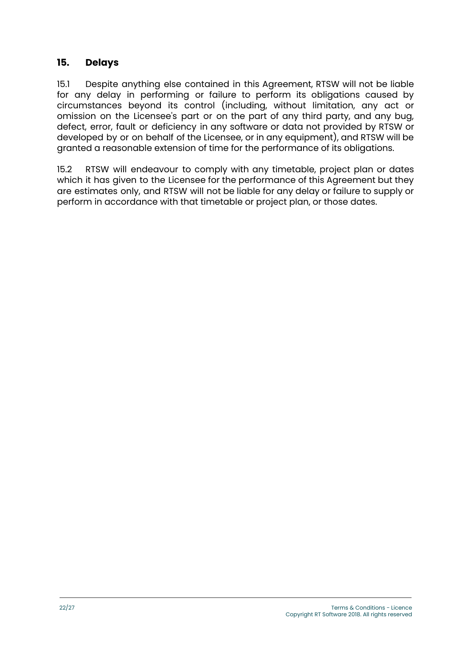#### **15. Delays**

15.1 Despite anything else contained in this Agreement, RTSW will not be liable for any delay in performing or failure to perform its obligations caused by circumstances beyond its control (including, without limitation, any act or omission on the Licensee's part or on the part of any third party, and any bug, defect, error, fault or deficiency in any software or data not provided by RTSW or developed by or on behalf of the Licensee, or in any equipment), and RTSW will be granted a reasonable extension of time for the performance of its obligations.

15.2 RTSW will endeavour to comply with any timetable, project plan or dates which it has given to the Licensee for the performance of this Agreement but they are estimates only, and RTSW will not be liable for any delay or failure to supply or perform in accordance with that timetable or project plan, or those dates.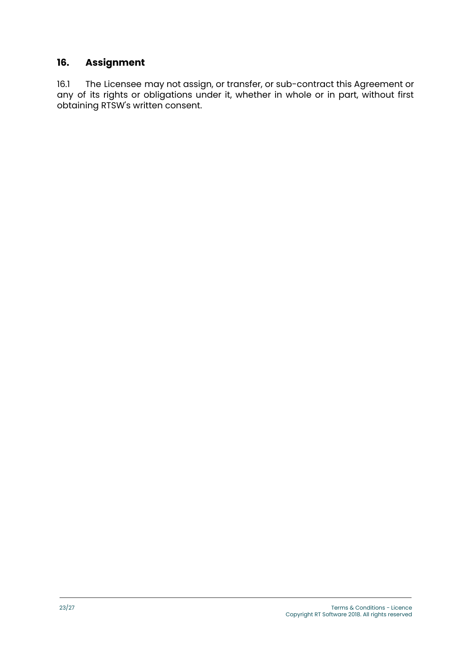# **16. Assignment**

16.1 The Licensee may not assign, or transfer, or sub-contract this Agreement or any of its rights or obligations under it, whether in whole or in part, without first obtaining RTSW's written consent.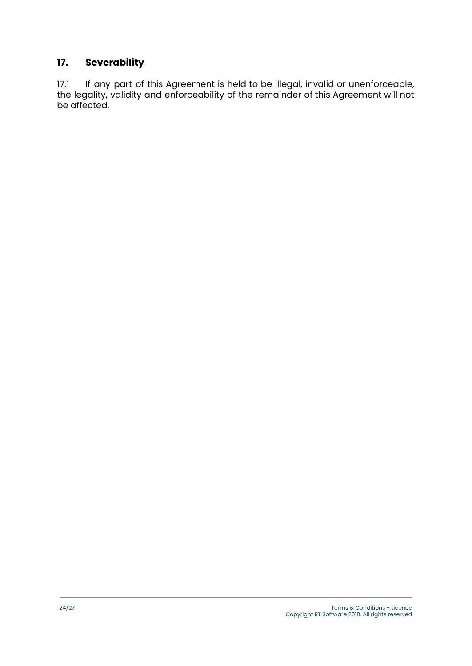# **17. Severability**

17.1 If any part of this Agreement is held to be illegal, invalid or unenforceable, the legality, validity and enforceability of the remainder of this Agreement will not be affected.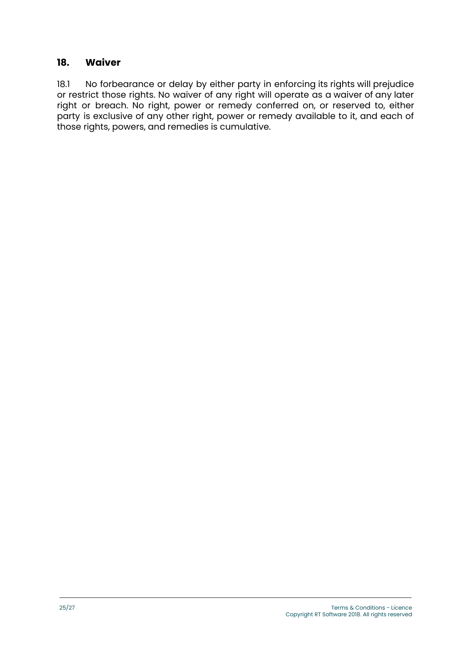#### **18. Waiver**

18.1 No forbearance or delay by either party in enforcing its rights will prejudice or restrict those rights. No waiver of any right will operate as a waiver of any later right or breach. No right, power or remedy conferred on, or reserved to, either party is exclusive of any other right, power or remedy available to it, and each of those rights, powers, and remedies is cumulative.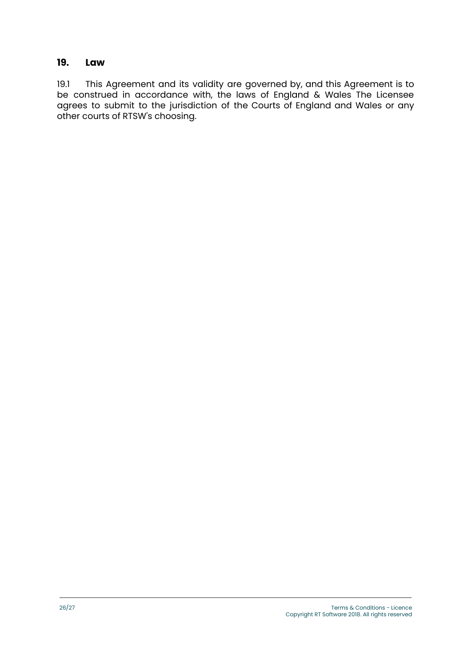#### **19. Law**

19.1 This Agreement and its validity are governed by, and this Agreement is to be construed in accordance with, the laws of England & Wales The Licensee agrees to submit to the jurisdiction of the Courts of England and Wales or any other courts of RTSW's choosing.